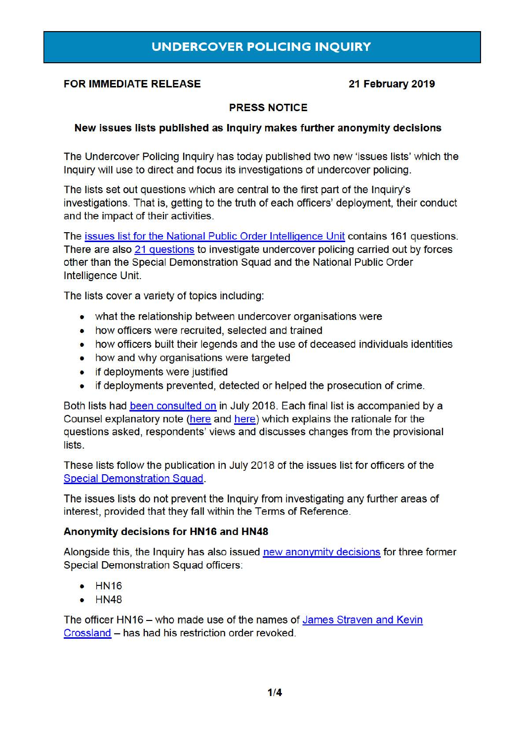## **FOR IMMEDIATE RELEASE 21 February 2019**

### **PRESS NOTICE**

## **New issues lists published as Inquiry makes further anonymity decisions**

The Undercover Policing Inquiry has today published two new 'issues lists' which the Inquiry will use to direct and focus its investigations of undercover policing.

The lists set out questions which are central to the first part of the Inquiry's investigations. That is, getting to the truth of each officers' deployment, their conduct and the impact of their activities.

The [issues list for the National Public Order Intelligence Unit](https://www.ucpi.org.uk/wp-content/uploads/2019/02/20190221-NPOIU-Module_One-List_of_issues.pdf) contains 161 questions. There are also [21 questions](https://www.ucpi.org.uk/wp-content/uploads/2019/02/20190221-Other_Undercover_Policing-Module_One-List_of_issues.pdf) to investigate undercover policing carried out by forces other than the Special Demonstration Squad and the National Public Order Intelligence Unit.

The lists cover a variety of topics including:

- what the relationship between undercover organisations were
- how officers were recruited, selected and trained
- how officers built their legends and the use of deceased individuals identities
- how and why organisations were targeted
- if deployments were justified
- if deployments prevented, detected or helped the prosecution of crime.

Both lists had [been consulted on](https://www.ucpi.org.uk/wp-content/uploads/2018/07/20180726-press_notice_NPOIU_OUP_issues_list.pdf) in July 2018. Each final list is accompanied by a Counsel explanatory note [\(here](https://www.ucpi.org.uk/wp-content/uploads/2019/02/20190221-explanatory_note-NPOIU-Module_One-List_of_issues.pdf) and [here\)](https://www.ucpi.org.uk/wp-content/uploads/2019/02/20190221-explanatory_note-Other_Undercover_Policing-Module_One-List_of_i....pdf) which explains the rationale for the questions asked, respondents' views and discusses changes from the provisional lists.

These lists follow the publication in July 2018 of the issues list for officers of the [Special Demonstration Squad.](https://www.ucpi.org.uk/wp-content/uploads/2018/07/20180703-press_notice_issues_list_SDS_module_one.pdf)

The issues lists do not prevent the Inquiry from investigating any further areas of interest, provided that they fall within the Terms of Reference.

### **Anonymity decisions for HN16 and HN48**

Alongside this, the Inquiry has also issued [new anonymity decisions](https://www.ucpi.org.uk/wp-content/uploads/2019/02/20190212-SDS_Minded_to_Note_14-_and_Ruling_14.pdf) for three former Special Demonstration Squad officers:

- HN16
- **HN48**

The officer HN16 - who made use of the names of James Straven and Kevin [Crossland](https://www.ucpi.org.uk/wp-content/uploads/2018/09/20180920_press_release_HN16.pdf) - has had his restriction order revoked.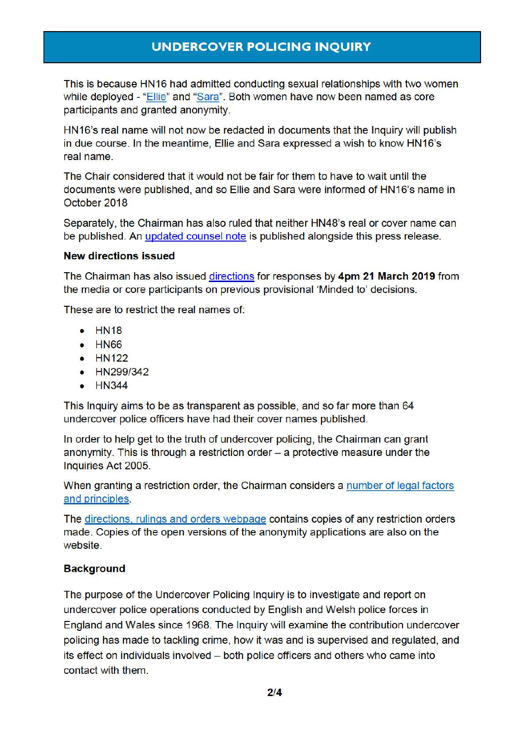This is because HN16 had admitted conducting sexual relationships with two women while deployed - ["Ellie"](https://www.ucpi.org.uk/wp-content/uploads/2018/10/20181010-ruling-anonymity-Ellie_Jessica_and_Lizzie.pdf) and ["Sara"](https://www.ucpi.org.uk/wp-content/uploads/2018/10/20181025-ruling-anonymity-Sara.pdf). Both women have now been named as core participants and granted anonymity.

HN16's real name will not now be redacted in documents that the Inquiry will publish in due course. In the meantime, Ellie and Sara expressed a wish to know HN16's real name.

The Chair considered that it would not be fair for them to have to wait until the documents were published, and so Ellie and Sara were informed of HN16's name in October 2018

Separately, the Chairman has also ruled that neither HN48's real or cover name can be published. An [updated counsel note](https://www.ucpi.org.uk/wp-content/uploads/2019/02/20190221-update_counsels_explanatory_note_SDS_Minded_to_14_and_Ruling_14.pdf) is published alongside this press release.

### **New directions issued**

The Chairman has also issued [directions](https://www.ucpi.org.uk/wp-content/uploads/2019/02/20190221-Directions_for_SDS_HN18_HN66_HN122_HN299_342_and_HN344.pdf) for responses by **4pm 21 March 2019** from the media or core participants on previous provisional 'Minded to' decisions.

These are to restrict the real names of:

- HN18
- HN66
- **HN122**
- HN299/342
- **HN344**

This Inquiry aims to be as transparent as possible, and so far more than 64 undercover police officers have had their cover names published.

In order to help get to the truth of undercover policing, the Chairman can grant anonymity. This is through a restriction order  $-$  a protective measure under the Inquiries Act 2005.

When granting a restriction order, the Chairman considers a [number of legal factors](https://www.ucpi.org.uk/wp-content/uploads/2016/05/160503-ruling-legal-approach-to-restriction-orders.pdf)  [and principles.](https://www.ucpi.org.uk/wp-content/uploads/2016/05/160503-ruling-legal-approach-to-restriction-orders.pdf)

The [directions, rulings and orders webpage](https://www.ucpi.org.uk/rulings/) contains copies of any restriction orders made. Copies of the open versions of the anonymity applications are also on the website.

### **Background**

The purpose of the Undercover Policing Inquiry is to investigate and report on undercover police operations conducted by English and Welsh police forces in England and Wales since 1968. The Inquiry will examine the contribution undercover policing has made to tackling crime, how it was and is supervised and regulated, and its effect on individuals involved – both police officers and others who came into contact with them.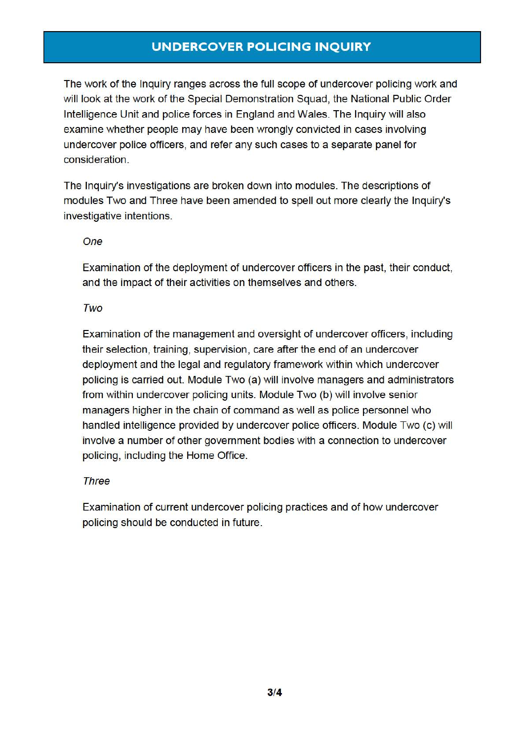The work of the Inquiry ranges across the full scope of undercover policing work and will look at the work of the Special Demonstration Squad, the National Public Order Intelligence Unit and police forces in England and Wales. The Inquiry will also examine whether people may have been wrongly convicted in cases involving undercover police officers, and refer any such cases to a separate panel for consideration .

The Inquiry's investigations are broken down into modules. The descriptions of modules Two and Three have been amended to spell out more clearly the Inquiry's investigative intentions.

### One

Examination of the deployment of undercover officers in the past, their conduct, and the impact of their activities on themselves and others.

#### Two

Examination of the management and oversight of undercover officers, including their selection, training, supervision, care after the end of an undercover deployment and the legal and regulatory framework within which undercover policing is carried out. Module Two (a) will involve managers and administrators from within undercover policing units. Module Two (b) will involve senior managers higher in the chain of command as well as police personnel who handled intelligence provided by undercover police officers. Module Two (c) will involve a number of other government bodies with a connection to undercover policing, including the Home Office.

### Three

Examination of current undercover policing practices and of how undercover policing should be conducted in future.